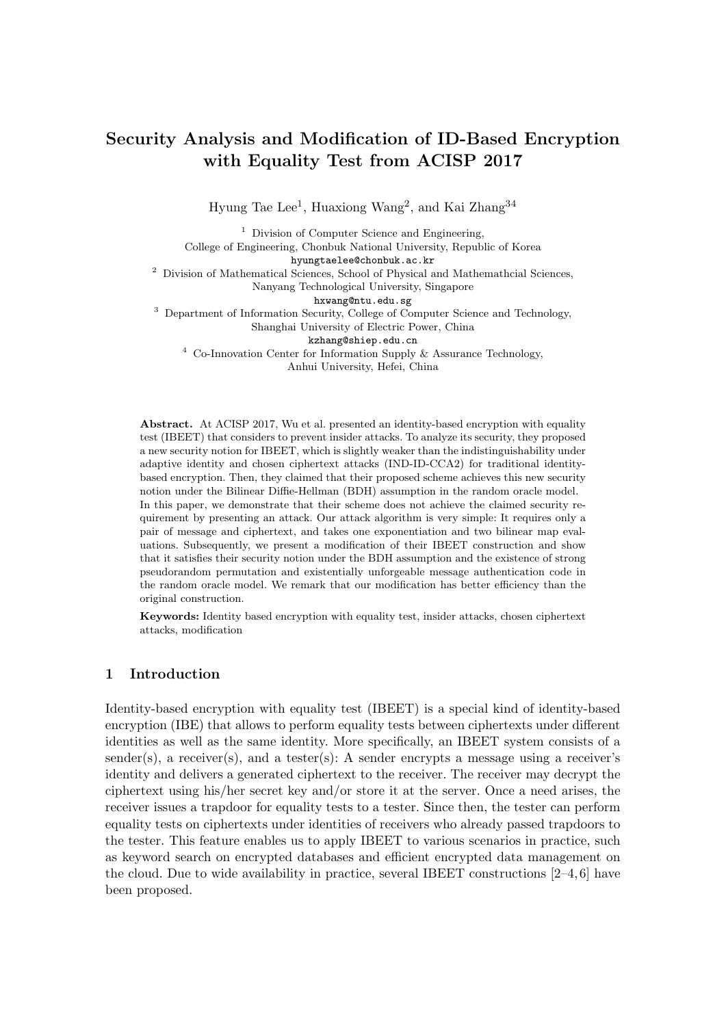# Security Analysis and Modification of ID-Based Encryption with Equality Test from ACISP 2017

Hyung Tae Lee<sup>1</sup>, Huaxiong Wang<sup>2</sup>, and Kai Zhang<sup>34</sup>

<sup>1</sup> Division of Computer Science and Engineering, College of Engineering, Chonbuk National University, Republic of Korea

hyungtaelee@chonbuk.ac.kr

<sup>2</sup> Division of Mathematical Sciences, School of Physical and Mathemathcial Sciences,

Nanyang Technological University, Singapore

hxwang@ntu.edu.sg

<sup>3</sup> Department of Information Security, College of Computer Science and Technology,

Shanghai University of Electric Power, China

kzhang@shiep.edu.cn

<sup>4</sup> Co-Innovation Center for Information Supply & Assurance Technology,

Anhui University, Hefei, China

Abstract. At ACISP 2017, Wu et al. presented an identity-based encryption with equality test (IBEET) that considers to prevent insider attacks. To analyze its security, they proposed a new security notion for IBEET, which is slightly weaker than the indistinguishability under adaptive identity and chosen ciphertext attacks (IND-ID-CCA2) for traditional identitybased encryption. Then, they claimed that their proposed scheme achieves this new security notion under the Bilinear Diffie-Hellman (BDH) assumption in the random oracle model. In this paper, we demonstrate that their scheme does not achieve the claimed security requirement by presenting an attack. Our attack algorithm is very simple: It requires only a pair of message and ciphertext, and takes one exponentiation and two bilinear map evaluations. Subsequently, we present a modification of their IBEET construction and show that it satisfies their security notion under the BDH assumption and the existence of strong pseudorandom permutation and existentially unforgeable message authentication code in the random oracle model. We remark that our modification has better efficiency than the original construction.

Keywords: Identity based encryption with equality test, insider attacks, chosen ciphertext attacks, modification

# 1 Introduction

Identity-based encryption with equality test (IBEET) is a special kind of identity-based encryption (IBE) that allows to perform equality tests between ciphertexts under different identities as well as the same identity. More specifically, an IBEET system consists of a sender(s), a receiver(s), and a tester(s): A sender encrypts a message using a receiver's identity and delivers a generated ciphertext to the receiver. The receiver may decrypt the ciphertext using his/her secret key and/or store it at the server. Once a need arises, the receiver issues a trapdoor for equality tests to a tester. Since then, the tester can perform equality tests on ciphertexts under identities of receivers who already passed trapdoors to the tester. This feature enables us to apply IBEET to various scenarios in practice, such as keyword search on encrypted databases and efficient encrypted data management on the cloud. Due to wide availability in practice, several IBEET constructions [2–4, 6] have been proposed.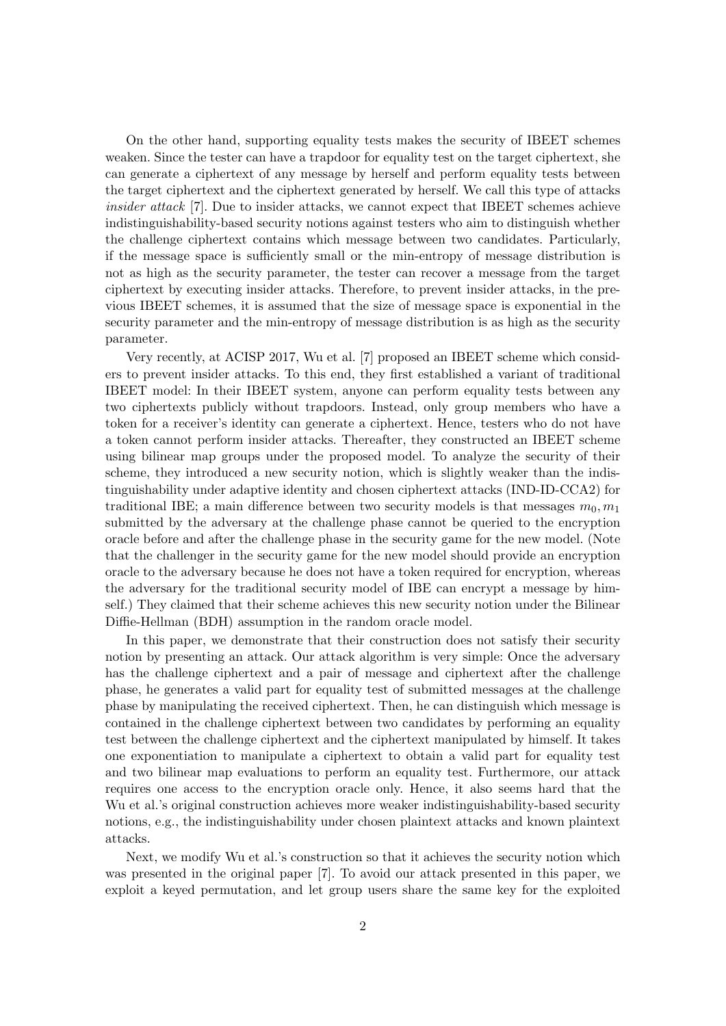On the other hand, supporting equality tests makes the security of IBEET schemes weaken. Since the tester can have a trapdoor for equality test on the target ciphertext, she can generate a ciphertext of any message by herself and perform equality tests between the target ciphertext and the ciphertext generated by herself. We call this type of attacks insider attack [7]. Due to insider attacks, we cannot expect that IBEET schemes achieve indistinguishability-based security notions against testers who aim to distinguish whether the challenge ciphertext contains which message between two candidates. Particularly, if the message space is sufficiently small or the min-entropy of message distribution is not as high as the security parameter, the tester can recover a message from the target ciphertext by executing insider attacks. Therefore, to prevent insider attacks, in the previous IBEET schemes, it is assumed that the size of message space is exponential in the security parameter and the min-entropy of message distribution is as high as the security parameter.

Very recently, at ACISP 2017, Wu et al. [7] proposed an IBEET scheme which considers to prevent insider attacks. To this end, they first established a variant of traditional IBEET model: In their IBEET system, anyone can perform equality tests between any two ciphertexts publicly without trapdoors. Instead, only group members who have a token for a receiver's identity can generate a ciphertext. Hence, testers who do not have a token cannot perform insider attacks. Thereafter, they constructed an IBEET scheme using bilinear map groups under the proposed model. To analyze the security of their scheme, they introduced a new security notion, which is slightly weaker than the indistinguishability under adaptive identity and chosen ciphertext attacks (IND-ID-CCA2) for traditional IBE; a main difference between two security models is that messages  $m_0, m_1$ submitted by the adversary at the challenge phase cannot be queried to the encryption oracle before and after the challenge phase in the security game for the new model. (Note that the challenger in the security game for the new model should provide an encryption oracle to the adversary because he does not have a token required for encryption, whereas the adversary for the traditional security model of IBE can encrypt a message by himself.) They claimed that their scheme achieves this new security notion under the Bilinear Diffie-Hellman (BDH) assumption in the random oracle model.

In this paper, we demonstrate that their construction does not satisfy their security notion by presenting an attack. Our attack algorithm is very simple: Once the adversary has the challenge ciphertext and a pair of message and ciphertext after the challenge phase, he generates a valid part for equality test of submitted messages at the challenge phase by manipulating the received ciphertext. Then, he can distinguish which message is contained in the challenge ciphertext between two candidates by performing an equality test between the challenge ciphertext and the ciphertext manipulated by himself. It takes one exponentiation to manipulate a ciphertext to obtain a valid part for equality test and two bilinear map evaluations to perform an equality test. Furthermore, our attack requires one access to the encryption oracle only. Hence, it also seems hard that the Wu et al.'s original construction achieves more weaker indistinguishability-based security notions, e.g., the indistinguishability under chosen plaintext attacks and known plaintext attacks.

Next, we modify Wu et al.'s construction so that it achieves the security notion which was presented in the original paper [7]. To avoid our attack presented in this paper, we exploit a keyed permutation, and let group users share the same key for the exploited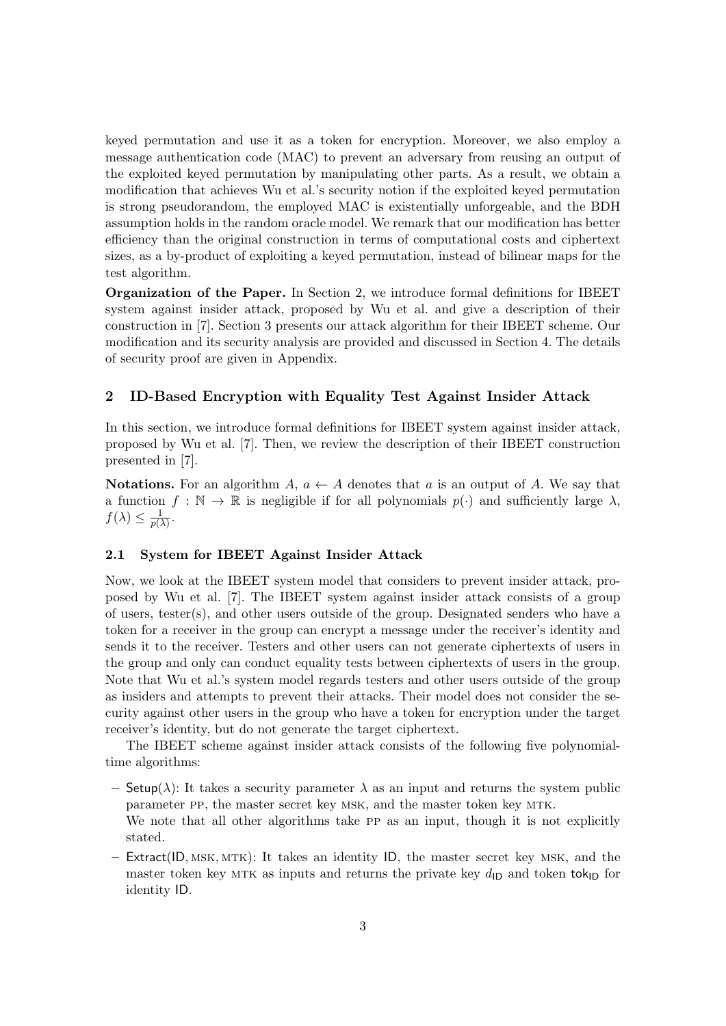keyed permutation and use it as a token for encryption. Moreover, we also employ a message authentication code (MAC) to prevent an adversary from reusing an output of the exploited keyed permutation by manipulating other parts. As a result, we obtain a modification that achieves Wu et al.'s security notion if the exploited keyed permutation is strong pseudorandom, the employed MAC is existentially unforgeable, and the BDH assumption holds in the random oracle model. We remark that our modification has better efficiency than the original construction in terms of computational costs and ciphertext sizes, as a by-product of exploiting a keyed permutation, instead of bilinear maps for the test algorithm.

Organization of the Paper. In Section 2, we introduce formal definitions for IBEET system against insider attack, proposed by Wu et al. and give a description of their construction in [7]. Section 3 presents our attack algorithm for their IBEET scheme. Our modification and its security analysis are provided and discussed in Section 4. The details of security proof are given in Appendix.

## 2 ID-Based Encryption with Equality Test Against Insider Attack

In this section, we introduce formal definitions for IBEET system against insider attack, proposed by Wu et al. [7]. Then, we review the description of their IBEET construction presented in [7].

**Notations.** For an algorithm A,  $a \leftarrow A$  denotes that a is an output of A. We say that a function  $f : \mathbb{N} \to \mathbb{R}$  is negligible if for all polynomials  $p(\cdot)$  and sufficiently large  $\lambda$ ,  $f(\lambda) \leq \frac{1}{nC}$  $\frac{1}{p(\lambda)}$ .

## 2.1 System for IBEET Against Insider Attack

Now, we look at the IBEET system model that considers to prevent insider attack, proposed by Wu et al. [7]. The IBEET system against insider attack consists of a group of users, tester(s), and other users outside of the group. Designated senders who have a token for a receiver in the group can encrypt a message under the receiver's identity and sends it to the receiver. Testers and other users can not generate ciphertexts of users in the group and only can conduct equality tests between ciphertexts of users in the group. Note that Wu et al.'s system model regards testers and other users outside of the group as insiders and attempts to prevent their attacks. Their model does not consider the security against other users in the group who have a token for encryption under the target receiver's identity, but do not generate the target ciphertext.

The IBEET scheme against insider attack consists of the following five polynomialtime algorithms:

- Setup( $\lambda$ ): It takes a security parameter  $\lambda$  as an input and returns the system public parameter PP, the master secret key MSK, and the master token key MTK. We note that all other algorithms take PP as an input, though it is not explicitly stated.
- Extract(ID, msk, mtk): It takes an identity ID, the master secret key msk, and the master token key MTK as inputs and returns the private key  $d_{\text{ID}}$  and token tok<sub>ID</sub> for identity ID.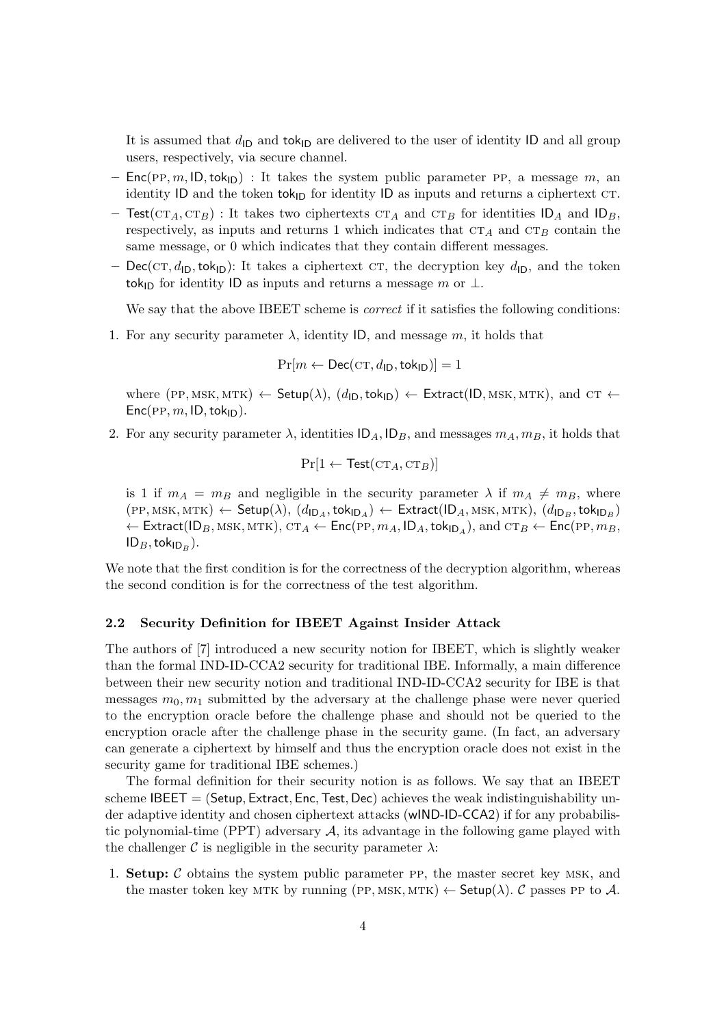It is assumed that  $d_{\text{ID}}$  and tok<sub>ID</sub> are delivered to the user of identity ID and all group users, respectively, via secure channel.

- Enc(PP, m, ID, tok<sub>ID</sub>) : It takes the system public parameter PP, a message m, an identity ID and the token to  $k_{\text{ID}}$  for identity ID as inputs and returns a ciphertext CT.
- Test( $CT_A, CT_B$ ) : It takes two ciphertexts  $CT_A$  and  $CT_B$  for identities ID<sub>A</sub> and ID<sub>B</sub>, respectively, as inputs and returns 1 which indicates that  $CT_A$  and  $CT_B$  contain the same message, or 0 which indicates that they contain different messages.
- Dec(CT,  $d_{\text{ID}}$ , tok<sub>ID</sub>): It takes a ciphertext CT, the decryption key  $d_{\text{ID}}$ , and the token tok<sub>ID</sub> for identity ID as inputs and returns a message m or  $\perp$ .

We say that the above IBEET scheme is *correct* if it satisfies the following conditions:

1. For any security parameter  $\lambda$ , identity ID, and message m, it holds that

$$
\Pr[m \leftarrow \mathsf{Dec}(\mathrm{CT}, d_{\mathsf{ID}}, \mathsf{tok}_{\mathsf{ID}})] = 1
$$

where (PP, MSK, MTK)  $\leftarrow$  Setup( $\lambda$ ), ( $d_{ID}$ , tok<sub>ID</sub>)  $\leftarrow$  Extract(ID, MSK, MTK), and CT  $\leftarrow$  $Enc(PP, m, ID, tokID).$ 

2. For any security parameter  $\lambda$ , identities  $|D_A, |D_B|$ , and messages  $m_A, m_B$ , it holds that

$$
\Pr[1 \leftarrow \mathsf{Test}(\mathrm{CT}_A, \mathrm{CT}_B)]
$$

is 1 if  $m_A = m_B$  and negligible in the security parameter  $\lambda$  if  $m_A \neq m_B$ , where  $(\mathtt{PP},\textsc{MSK},\textsc{MTK}) \leftarrow \mathsf{Setup}(\lambda),\ (d_{\mathsf{ID}_A},\textsf{tok}_{\mathsf{ID}_A}) \leftarrow \mathsf{Extract}(\mathsf{ID}_A,\textsc{MSK},\textsc{MTK}),\ (d_{\mathsf{ID}_B},\textsf{tok}_{\mathsf{ID}_B})$  $\leftarrow$  Extract(ID<sub>B</sub>, MSK, MTK), CT<sub>A</sub>  $\leftarrow$  Enc(PP,  $m_A$ , ID<sub>A</sub>, tok<sub>ID<sub>A</sub>), and CT<sub>B</sub>  $\leftarrow$  Enc(PP,  $m_B$ ,</sub>  $\mathsf{ID}_B, \mathsf{tok}_{\mathsf{ID}_B}$ ).

We note that the first condition is for the correctness of the decryption algorithm, whereas the second condition is for the correctness of the test algorithm.

## 2.2 Security Definition for IBEET Against Insider Attack

The authors of [7] introduced a new security notion for IBEET, which is slightly weaker than the formal IND-ID-CCA2 security for traditional IBE. Informally, a main difference between their new security notion and traditional IND-ID-CCA2 security for IBE is that messages  $m_0, m_1$  submitted by the adversary at the challenge phase were never queried to the encryption oracle before the challenge phase and should not be queried to the encryption oracle after the challenge phase in the security game. (In fact, an adversary can generate a ciphertext by himself and thus the encryption oracle does not exist in the security game for traditional IBE schemes.)

The formal definition for their security notion is as follows. We say that an IBEET scheme IBEET = (Setup, Extract, Enc, Test, Dec) achieves the weak indistinguishability under adaptive identity and chosen ciphertext attacks (wIND-ID-CCA2) if for any probabilistic polynomial-time (PPT) adversary  $A$ , its advantage in the following game played with the challenger C is negligible in the security parameter  $\lambda$ :

1. **Setup:**  $\mathcal{C}$  obtains the system public parameter PP, the master secret key MSK, and the master token key MTK by running (PP, MSK, MTK)  $\leftarrow$  Setup( $\lambda$ ). C passes PP to A.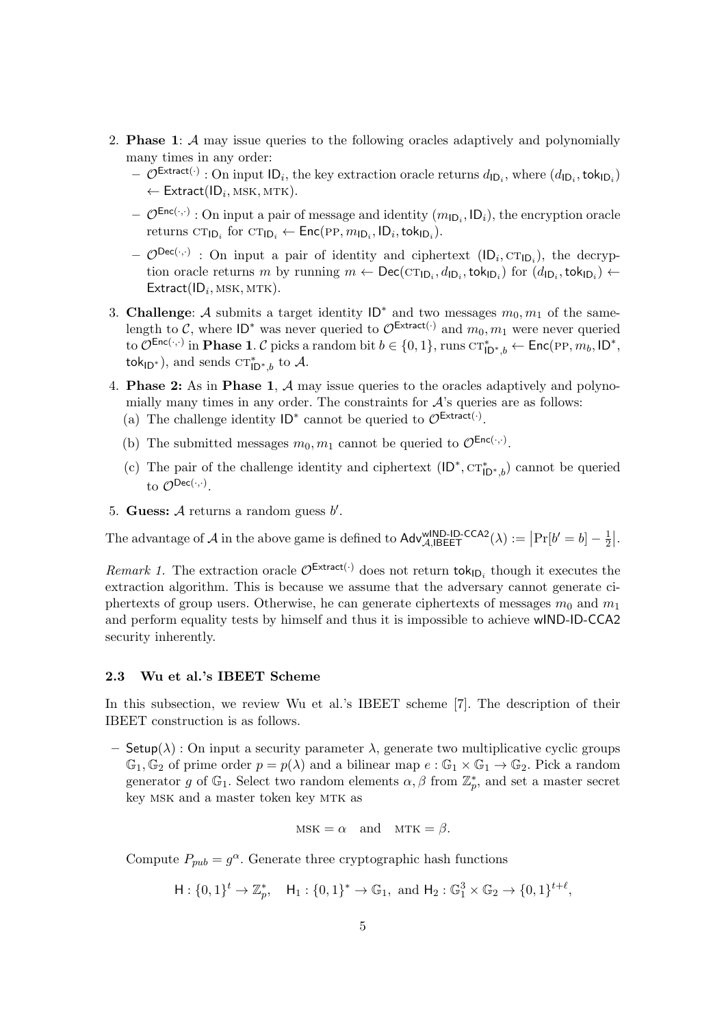- 2. Phase 1: A may issue queries to the following oracles adaptively and polynomially many times in any order:
	- $\mathcal{O}^{\mathsf{Extract}(\cdot)}$ : On input  $\mathsf{ID}_i$ , the key extraction oracle returns  $d_{\mathsf{ID}_i}$ , where  $(d_{\mathsf{ID}_i}, \mathsf{tok}_{\mathsf{ID}_i})$  $\leftarrow$  Extract(ID<sub>i</sub>, MSK, MTK).
	- $\mathcal{O}^{\mathsf{Enc}(\cdot,\cdot)}$ : On input a pair of message and identity  $(m_{\mathsf{ID}_i}, \mathsf{ID}_i)$ , the encryption oracle returns  $\mathrm{CT}_{\mathsf{ID}_i}$  for  $\mathrm{CT}_{\mathsf{ID}_i} \leftarrow \mathsf{Enc}(\mathrm{PP}, m_{\mathsf{ID}_i}, \mathsf{ID}_i, \mathsf{tok}_{\mathsf{ID}_i}).$
	- $\mathcal{O}^{\text{Dec}(\cdot,\cdot)}$ : On input a pair of identity and ciphertext  $(\mathsf{ID}_i, \text{CT}_{\mathsf{ID}_i})$ , the decryption oracle returns m by running  $m \leftarrow \mathsf{Dec}(\mathrm{CT}_{\mathsf{ID}_i}, d_{\mathsf{ID}_i}, \mathsf{tok}_{\mathsf{ID}_i})$  for  $(d_{\mathsf{ID}_i}, \mathsf{tok}_{\mathsf{ID}_i}) \leftarrow$  $Extract(ID_{i},\text{MSK},\text{MTK}).$
- 3. Challenge: A submits a target identity  $ID^*$  and two messages  $m_0, m_1$  of the samelength to C, where ID<sup>\*</sup> was never queried to  $\mathcal{O}^{\mathsf{Extract}(\cdot)}$  and  $m_0, m_1$  were never queried to  $\mathcal{O}^{\mathsf{Enc}(\cdot,\cdot)}$  in **Phase 1**.  $\mathcal C$  picks a random bit  $b\in\{0,1\}$ , runs  $\mathrm{CT}^*_{\mathsf{ID}^*,b}\leftarrow \mathsf{Enc}(\mathrm{PP},m_b,\mathsf{ID}^*,$ tok<sub>ID<sup>∗</sup></sub>), and sends  $\mathrm{CT}^*_{\mathsf{ID}^*,b}$  to A.
- 4. **Phase 2:** As in **Phase 1**,  $\mathcal A$  may issue queries to the oracles adaptively and polynomially many times in any order. The constraints for  $\mathcal{A}$ 's queries are as follows:
	- (a) The challenge identity  $ID^*$  cannot be queried to  $\mathcal{O}^{\mathsf{Extract}}(\cdot)$ .
	- (b) The submitted messages  $m_0, m_1$  cannot be queried to  $\mathcal{O}^{\mathsf{Enc}(\cdot,\cdot)}$ .
	- (c) The pair of the challenge identity and ciphertext  $(\text{ID}^*, \text{CT}^*_{\text{ID}^*,b})$  cannot be queried to  $\mathcal{O}^{\mathsf{Dec}(\cdot,\cdot)}.$
- 5. Guess:  $A$  returns a random guess  $b'$ .

The advantage of A in the above game is defined to  $\text{Adv}_{\mathcal{A},\text{IBEET}}^{\text{WIND-ID-CCA2}}(\lambda) := \left| \Pr[b' = b] - \frac{1}{2} \right|$  $\frac{1}{2}$ .

Remark 1. The extraction oracle  $\mathcal{O}^{\mathsf{Extract}(\cdot)}$  does not return to  $k_{\mathsf{ID}_i}$  though it executes the extraction algorithm. This is because we assume that the adversary cannot generate ciphertexts of group users. Otherwise, he can generate ciphertexts of messages  $m_0$  and  $m_1$ and perform equality tests by himself and thus it is impossible to achieve wIND-ID-CCA2 security inherently.

#### 2.3 Wu et al.'s IBEET Scheme

In this subsection, we review Wu et al.'s IBEET scheme [7]. The description of their IBEET construction is as follows.

– Setup( $\lambda$ ) : On input a security parameter  $\lambda$ , generate two multiplicative cyclic groups  $\mathbb{G}_1, \mathbb{G}_2$  of prime order  $p = p(\lambda)$  and a bilinear map  $e : \mathbb{G}_1 \times \mathbb{G}_1 \to \mathbb{G}_2$ . Pick a random generator g of  $\mathbb{G}_1$ . Select two random elements  $\alpha, \beta$  from  $\mathbb{Z}_p^*$ , and set a master secret key MSK and a master token key MTK as

$$
MSK = \alpha \quad \text{and} \quad MTK = \beta.
$$

Compute  $P_{pub} = g^{\alpha}$ . Generate three cryptographic hash functions

$$
\mathsf{H}: \{0,1\}^t \to \mathbb{Z}_p^*, \quad \mathsf{H}_1: \{0,1\}^* \to \mathbb{G}_1, \text{ and } \mathsf{H}_2: \mathbb{G}_1^3 \times \mathbb{G}_2 \to \{0,1\}^{t+\ell},
$$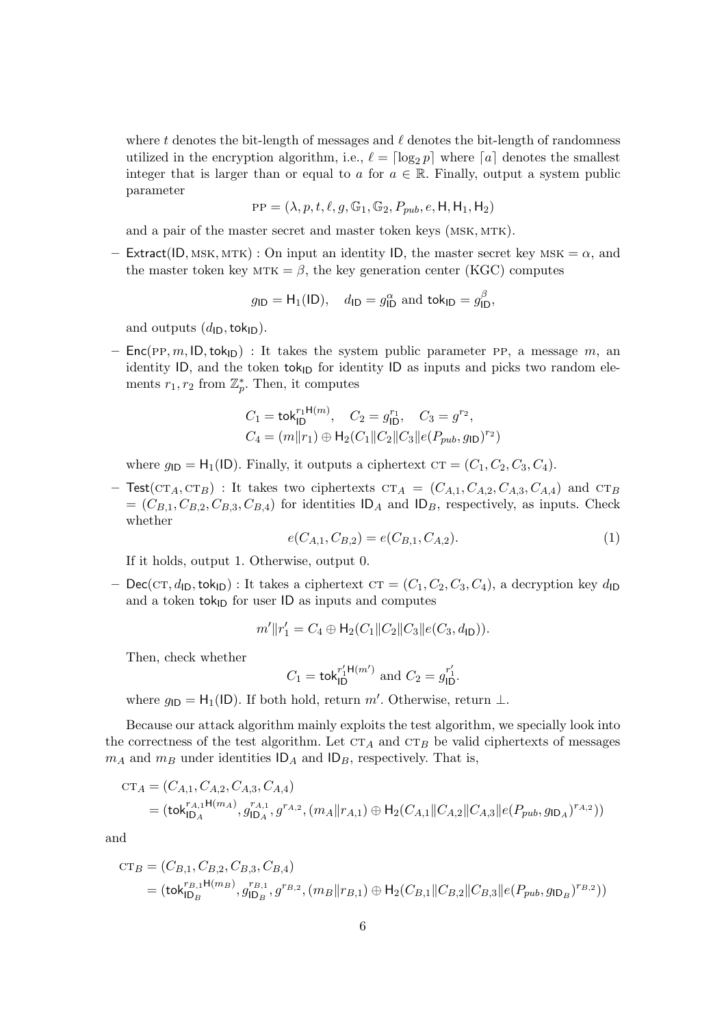where t denotes the bit-length of messages and  $\ell$  denotes the bit-length of randomness utilized in the encryption algorithm, i.e.,  $\ell = \lceil \log_2 p \rceil$  where  $\lceil a \rceil$  denotes the smallest integer that is larger than or equal to a for  $a \in \mathbb{R}$ . Finally, output a system public parameter

$$
PP = (\lambda, p, t, \ell, g, \mathbb{G}_1, \mathbb{G}_2, P_{pub}, e, H, H_1, H_2)
$$

and a pair of the master secret and master token keys (MSK, MTK).

– Extract(ID, MSK, MTK) : On input an identity ID, the master secret key MSK =  $\alpha$ , and the master token key MTK =  $\beta$ , the key generation center (KGC) computes

$$
g_{\mathsf{ID}} = \mathsf{H}_1(\mathsf{ID}), \quad d_{\mathsf{ID}} = g_{\mathsf{ID}}^{\alpha} \text{ and } \mathsf{tok}_{\mathsf{ID}} = g_{\mathsf{ID}}^{\beta},
$$

and outputs  $(d_{\text{ID}}, \text{tok}_{\text{ID}})$ .

–  $Enc(\text{PP}, m, \text{ID}, \text{tok}_{\text{ID}})$ : It takes the system public parameter PP, a message m, an identity ID, and the token to  $k_{ID}$  for identity ID as inputs and picks two random elements  $r_1, r_2$  from  $\mathbb{Z}_p^*$ . Then, it computes

$$
C_1 = \mathsf{tok}_{\mathsf{ID}}^{r_1 \mathsf{H}(m)}, \quad C_2 = g_{\mathsf{ID}}^{r_1}, \quad C_3 = g^{r_2},
$$
  

$$
C_4 = (m \| r_1) \oplus \mathsf{H}_2(C_1 \| C_2 \| C_3 \| e(P_{pub}, g_{\mathsf{ID}})^{r_2})
$$

where  $g_{\text{ID}} = H_1(\text{ID})$ . Finally, it outputs a ciphertext  $CT = (C_1, C_2, C_3, C_4)$ .

– Test(CT<sub>A</sub>, CT<sub>B</sub>) : It takes two ciphertexts CT<sub>A</sub> =  $(C_{A,1}, C_{A,2}, C_{A,3}, C_{A,4})$  and CT<sub>B</sub>  $=(C_{B,1}, C_{B,2}, C_{B,3}, C_{B,4})$  for identities  $ID_A$  and  $ID_B$ , respectively, as inputs. Check whether

$$
e(C_{A,1}, C_{B,2}) = e(C_{B,1}, C_{A,2}).
$$
\n<sup>(1)</sup>

If it holds, output 1. Otherwise, output 0.

– Dec(CT,  $d_{\text{ID}}$ , tok<sub>ID</sub>) : It takes a ciphertext CT = ( $C_1, C_2, C_3, C_4$ ), a decryption key  $d_{\text{ID}}$ and a token  $\text{tok}_{ID}$  for user ID as inputs and computes

$$
m'\|r'_1 = C_4 \oplus \mathsf{H}_2(C_1 \| C_2 \| C_3 \| e(C_3, d_{\mathsf{ID}})).
$$

Then, check whether

$$
C_1 = \text{tok}_{\text{ID}}^{r'_1 \text{H}(m')}
$$
 and  $C_2 = g_{\text{ID}}^{r'_1}.$ 

where  $g_{\text{ID}} = H_1(\text{ID})$ . If both hold, return  $m'$ . Otherwise, return  $\perp$ .

Because our attack algorithm mainly exploits the test algorithm, we specially look into the correctness of the test algorithm. Let  $CT_A$  and  $CT_B$  be valid ciphertexts of messages  $m_A$  and  $m_B$  under identities  $ID_A$  and  $ID_B$ , respectively. That is,

$$
\begin{aligned} \mathrm{CT}_A &= (C_{A,1}, C_{A,2}, C_{A,3}, C_{A,4}) \\ &= (\mathrm{tok}_{\mathsf{ID}_A}^{r_{A,1}\mathsf{H}(m_A)}, g_{\mathsf{ID}_A}^{r_{A,1}}, g^{r_{A,2}}, (m_A \| r_{A,1}) \oplus \mathsf{H}_2(C_{A,1} \| C_{A,2} \| C_{A,3} \| e(P_{pub}, g_{\mathsf{ID}_A})^{r_{A,2}})) \end{aligned}
$$

and

$$
CT_B = (C_{B,1}, C_{B,2}, C_{B,3}, C_{B,4})
$$
  
= (tok<sup>r<sub>B,1</sub>H(m<sub>B</sub>)</sup>, <sup>r<sub>B,1</sub></sup>, <sup>r<sub>B,2</sub></sup>, (*m<sub>B</sub>*||r<sub>B,1</sub>)  $\oplus$  H<sub>2</sub>(C<sub>B,1</sub>||C<sub>B,2</sub>||C<sub>B,3</sub>||e(P<sub>pub</sub>,g<sub>1D<sub>B</sub></sub>)<sup>r<sub>B,2</sub></sup>))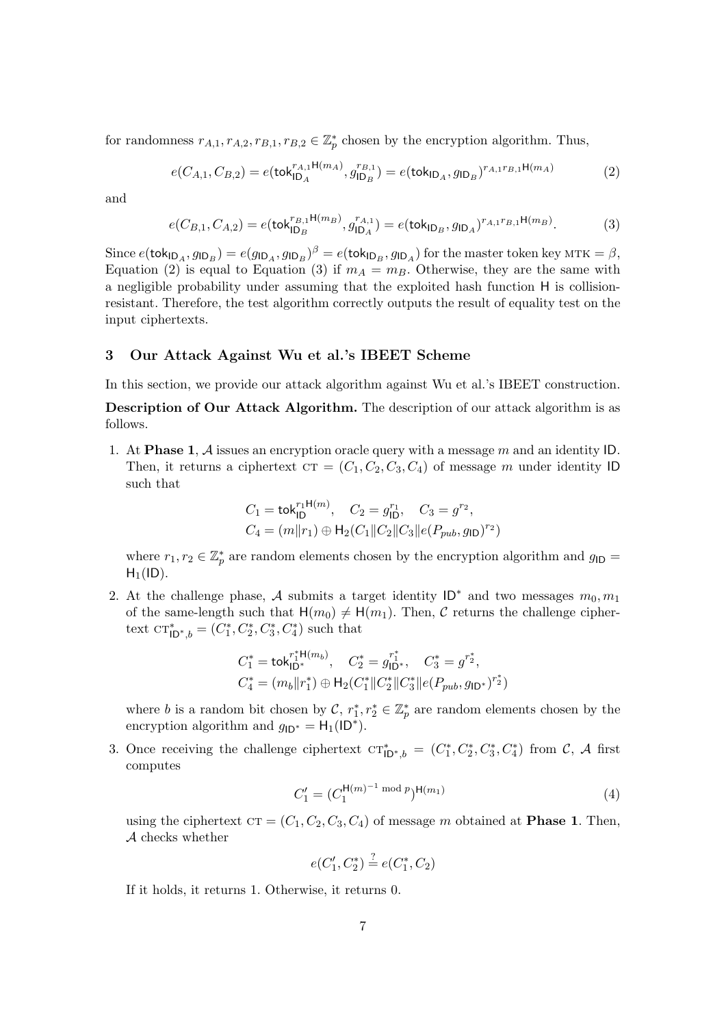for randomness  $r_{A,1}, r_{A,2}, r_{B,1}, r_{B,2} \in \mathbb{Z}_p^*$  chosen by the encryption algorithm. Thus,

$$
e(C_{A,1}, C_{B,2}) = e(\text{tok}_{\mathsf{ID}_A}^{r_{A,1}\mathsf{H}(m_A)}, g_{\mathsf{ID}_B}^{r_{B,1}}) = e(\text{tok}_{\mathsf{ID}_A}, g_{\mathsf{ID}_B})^{r_{A,1}r_{B,1}\mathsf{H}(m_A)} \tag{2}
$$

and

$$
e(C_{B,1}, C_{A,2}) = e(\text{tok}_{\mathsf{ID}_B}^{r_{B,1}\mathsf{H}(m_B)}, g_{\mathsf{ID}_A}^{r_{A,1}}) = e(\text{tok}_{\mathsf{ID}_B}, g_{\mathsf{ID}_A})^{r_{A,1}r_{B,1}\mathsf{H}(m_B)}.
$$
(3)

Since  $e(\textsf{tok}_{\mathsf{ID}_A}, g_{\mathsf{ID}_B}) = e(g_{\mathsf{ID}_A}, g_{\mathsf{ID}_B})^{\beta} = e(\textsf{tok}_{\mathsf{ID}_B}, g_{\mathsf{ID}_A})$  for the master token key MTK =  $\beta$ , Equation (2) is equal to Equation (3) if  $m_A = m_B$ . Otherwise, they are the same with a negligible probability under assuming that the exploited hash function H is collisionresistant. Therefore, the test algorithm correctly outputs the result of equality test on the input ciphertexts.

## 3 Our Attack Against Wu et al.'s IBEET Scheme

In this section, we provide our attack algorithm against Wu et al.'s IBEET construction.

Description of Our Attack Algorithm. The description of our attack algorithm is as follows.

1. At **Phase 1**, A issues an encryption oracle query with a message m and an identity ID. Then, it returns a ciphertext  $CT = (C_1, C_2, C_3, C_4)$  of message m under identity ID such that

$$
C_1 = \mathsf{tok}_{\mathsf{ID}}^{r_1 \mathsf{H}(m)}, \quad C_2 = g_{\mathsf{ID}}^{r_1}, \quad C_3 = g^{r_2},
$$
  

$$
C_4 = (m \| r_1) \oplus \mathsf{H}_2(C_1 \| C_2 \| C_3 \| e(P_{pub}, g_{\mathsf{ID}})^{r_2})
$$

where  $r_1, r_2 \in \mathbb{Z}_p^*$  are random elements chosen by the encryption algorithm and  $g_{\mathsf{ID}} =$  $H_1(ID)$ .

2. At the challenge phase, A submits a target identity  $ID^*$  and two messages  $m_0, m_1$ of the same-length such that  $H(m_0) \neq H(m_1)$ . Then, C returns the challenge ciphertext  $\mathrm{CT}^*_{\mathsf{ID}^*,b} = (C^*_1, C^*_2, C^*_3, C^*_4)$  such that

$$
C_1^* = \text{tok}_{\text{ID}^*}^{r_1^* \text{H}(m_b)}, \quad C_2^* = g_{\text{ID}^*}^{r_1^*}, \quad C_3^* = g^{r_2^*},
$$
  

$$
C_4^* = (m_b || r_1^*) \oplus \text{H}_2(C_1^* || C_2^* || C_3^* || e(P_{pub}, g_{\text{ID}^*})^{r_2^*})
$$

where b is a random bit chosen by  $\mathcal{C}, r_1^*, r_2^* \in \mathbb{Z}_p^*$  are random elements chosen by the encryption algorithm and  $g_{ID^*} = H_1(ID^*).$ 

3. Once receiving the challenge ciphertext  $\mathrm{CT}^*_{\mathsf{ID}^*,b} = (C^*_1, C^*_2, C^*_3, C^*_4)$  from C, A first computes

$$
C_1' = (C_1^{H(m)^{-1} \bmod p})^{H(m_1)}
$$
\n(4)

using the ciphertext  $CT = (C_1, C_2, C_3, C_4)$  of message m obtained at **Phase 1**. Then,  $A$  checks whether

$$
e(C'_1, C_2^*) \stackrel{?}{=} e(C_1^*, C_2)
$$

If it holds, it returns 1. Otherwise, it returns 0.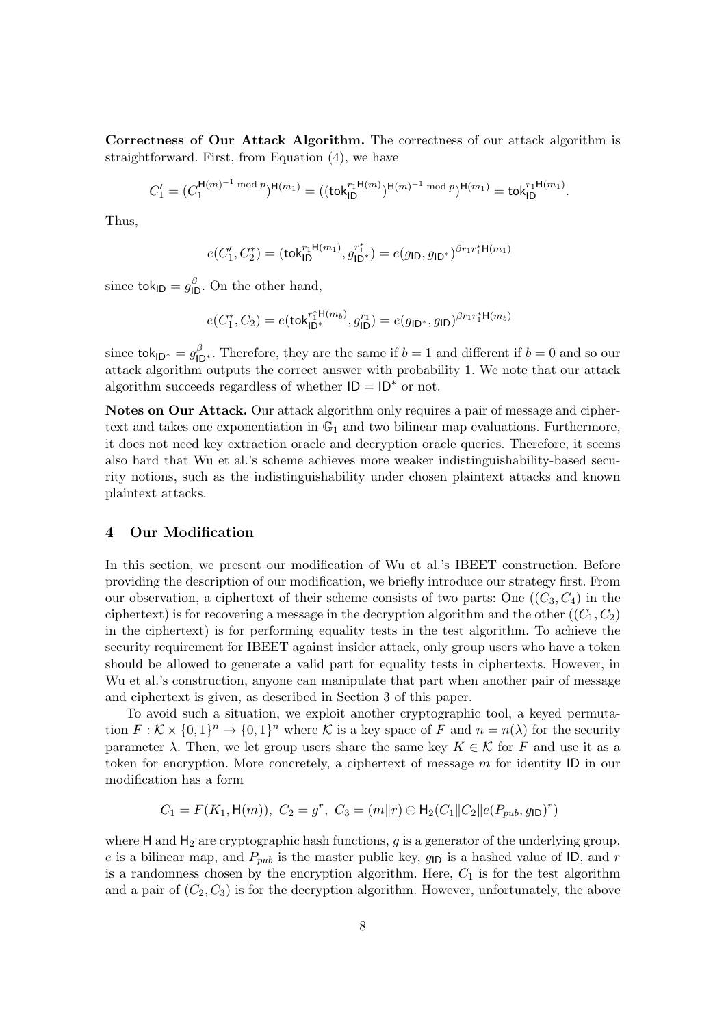Correctness of Our Attack Algorithm. The correctness of our attack algorithm is straightforward. First, from Equation (4), we have

$$
C'_1 = (C_1^{\mathsf{H}(m)^{-1} \bmod p})^{\mathsf{H}(m_1)} = ((\mathsf{tok}_{\mathsf{ID}}^{r_1 \mathsf{H}(m)})^{\mathsf{H}(m)^{-1} \bmod p})^{\mathsf{H}(m_1)} = \mathsf{tok}_{\mathsf{ID}}^{r_1 \mathsf{H}(m_1)}.
$$

Thus,

$$
e(C'_1, C^*_2) = (\text{tok}_{\mathsf{ID}}^{r_1 \mathsf{H}(m_1)}, g_{\mathsf{ID}^*}^{r_1^*}) = e(g_{\mathsf{ID}}, g_{\mathsf{ID}^*})^{\beta r_1 r_1^* \mathsf{H}(m_1)}
$$

since  $\text{tok}_{\text{ID}} = g_{\text{ID}}^{\beta}$ . On the other hand,

$$
e(C_1^*, C_2) = e(\text{tok}_{\text{ID}^*}^{r_1^* \text{H}(m_b)}, g_{\text{ID}}^{r_1}) = e(g_{\text{ID}^*}, g_{\text{ID}})^{\beta r_1 r_1^* \text{H}(m_b)}
$$

since  $\mathsf{tok}_{\mathsf{ID}^*} = g_{\mathsf{ID}^*}^{\beta}$ . Therefore, they are the same if  $b = 1$  and different if  $b = 0$  and so our attack algorithm outputs the correct answer with probability 1. We note that our attack algorithm succeeds regardless of whether  $ID = ID^*$  or not.

Notes on Our Attack. Our attack algorithm only requires a pair of message and ciphertext and takes one exponentiation in  $\mathbb{G}_1$  and two bilinear map evaluations. Furthermore, it does not need key extraction oracle and decryption oracle queries. Therefore, it seems also hard that Wu et al.'s scheme achieves more weaker indistinguishability-based security notions, such as the indistinguishability under chosen plaintext attacks and known plaintext attacks.

#### 4 Our Modification

In this section, we present our modification of Wu et al.'s IBEET construction. Before providing the description of our modification, we briefly introduce our strategy first. From our observation, a ciphertext of their scheme consists of two parts: One  $((C_3, C_4)$  in the ciphertext) is for recovering a message in the decryption algorithm and the other  $((C_1, C_2)$ in the ciphertext) is for performing equality tests in the test algorithm. To achieve the security requirement for IBEET against insider attack, only group users who have a token should be allowed to generate a valid part for equality tests in ciphertexts. However, in Wu et al.'s construction, anyone can manipulate that part when another pair of message and ciphertext is given, as described in Section 3 of this paper.

To avoid such a situation, we exploit another cryptographic tool, a keyed permutation  $F: \mathcal{K} \times \{0,1\}^n \to \{0,1\}^n$  where  $\mathcal{K}$  is a key space of F and  $n = n(\lambda)$  for the security parameter  $\lambda$ . Then, we let group users share the same key  $K \in \mathcal{K}$  for F and use it as a token for encryption. More concretely, a ciphertext of message m for identity ID in our modification has a form

$$
C_1 = F(K_1, \mathsf{H}(m)), \ C_2 = g^r, \ C_3 = (m||r) \oplus \mathsf{H}_2(C_1||C_2||e(P_{pub}, g_{\mathsf{ID}})^r)
$$

where H and  $H_2$  are cryptographic hash functions, g is a generator of the underlying group, e is a bilinear map, and  $P_{pub}$  is the master public key,  $g_{\text{ID}}$  is a hashed value of ID, and r is a randomness chosen by the encryption algorithm. Here,  $C_1$  is for the test algorithm and a pair of  $(C_2, C_3)$  is for the decryption algorithm. However, unfortunately, the above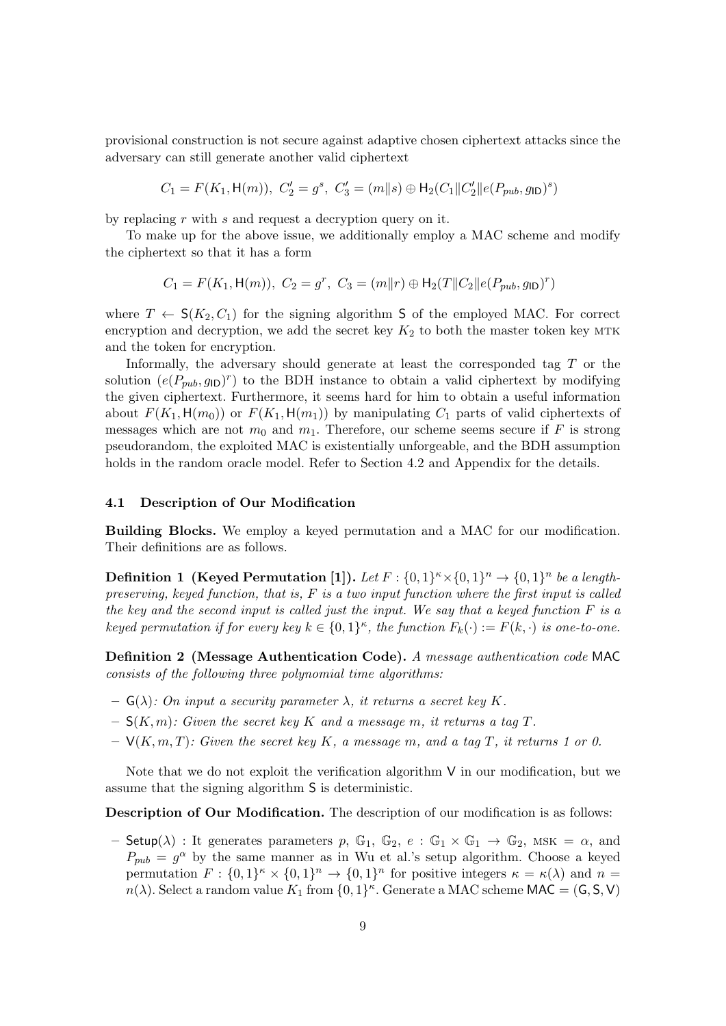provisional construction is not secure against adaptive chosen ciphertext attacks since the adversary can still generate another valid ciphertext

$$
C_1 = F(K_1, \mathsf{H}(m)), \ C_2' = g^s, \ C_3' = (m \| s) \oplus \mathsf{H}_2(C_1 \| C_2' \| e(P_{pub}, g_{\mathsf{ID}})^s)
$$

by replacing  $r$  with  $s$  and request a decryption query on it.

To make up for the above issue, we additionally employ a MAC scheme and modify the ciphertext so that it has a form

$$
C_1 = F(K_1, \mathsf{H}(m)), \ C_2 = g^r, \ C_3 = (m||r) \oplus \mathsf{H}_2(T||C_2||e(P_{pub}, g_{\mathsf{ID}})^r)
$$

where  $T \leftarrow S(K_2, C_1)$  for the signing algorithm S of the employed MAC. For correct encryption and decryption, we add the secret key  $K_2$  to both the master token key MTK and the token for encryption.

Informally, the adversary should generate at least the corresponded tag T or the solution  $(e(P_{pub}, g_{\text{ID}})^r)$  to the BDH instance to obtain a valid ciphertext by modifying the given ciphertext. Furthermore, it seems hard for him to obtain a useful information about  $F(K_1, \mathsf{H}(m_0))$  or  $F(K_1, \mathsf{H}(m_1))$  by manipulating  $C_1$  parts of valid ciphertexts of messages which are not  $m_0$  and  $m_1$ . Therefore, our scheme seems secure if F is strong pseudorandom, the exploited MAC is existentially unforgeable, and the BDH assumption holds in the random oracle model. Refer to Section 4.2 and Appendix for the details.

## 4.1 Description of Our Modification

Building Blocks. We employ a keyed permutation and a MAC for our modification. Their definitions are as follows.

**Definition 1** (Keyed Permutation [1]). Let  $F: \{0,1\}^{\kappa} \times \{0,1\}^n \rightarrow \{0,1\}^n$  be a lengthpreserving, keyed function, that is,  $F$  is a two input function where the first input is called the key and the second input is called just the input. We say that a keyed function  $F$  is a keyed permutation if for every key  $k \in \{0,1\}^{\kappa}$ , the function  $F_k(\cdot) := F(k, \cdot)$  is one-to-one.

Definition 2 (Message Authentication Code). A message authentication code MAC consists of the following three polynomial time algorithms:

- $\mathsf{G}(\lambda)$ : On input a security parameter  $\lambda$ , it returns a secret key K.
- $S(K, m)$ : Given the secret key K and a message m, it returns a tag T.
- $\mathsf{V}(K,m,T)$ : Given the secret key K, a message m, and a tag T, it returns 1 or 0.

Note that we do not exploit the verification algorithm  $V$  in our modification, but we assume that the signing algorithm S is deterministic.

Description of Our Modification. The description of our modification is as follows:

– Setup( $\lambda$ ) : It generates parameters p,  $\mathbb{G}_1$ ,  $\mathbb{G}_2$ ,  $e : \mathbb{G}_1 \times \mathbb{G}_1 \to \mathbb{G}_2$ ,  $MSK = \alpha$ , and  $P_{pub} = g^{\alpha}$  by the same manner as in Wu et al.'s setup algorithm. Choose a keyed permutation  $F: \{0,1\}^n \times \{0,1\}^n \to \{0,1\}^n$  for positive integers  $\kappa = \kappa(\lambda)$  and  $n =$  $n(\lambda)$ . Select a random value  $K_1$  from  $\{0,1\}^{\kappa}$ . Generate a MAC scheme MAC =  $(G, S, V)$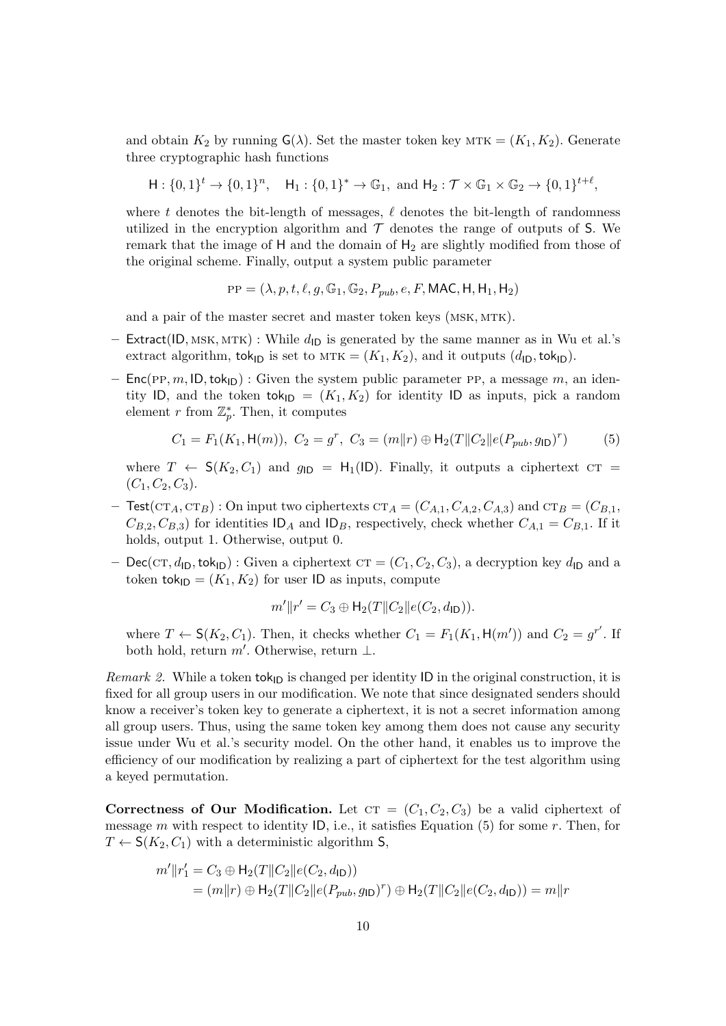and obtain  $K_2$  by running  $\mathsf{G}(\lambda)$ . Set the master token key MTK =  $(K_1, K_2)$ . Generate three cryptographic hash functions

 $H: \{0,1\}^t \to \{0,1\}^n$ ,  $H_1: \{0,1\}^* \to \mathbb{G}_1$ , and  $H_2: \mathcal{T} \times \mathbb{G}_1 \times \mathbb{G}_2 \to \{0,1\}^{t+\ell}$ ,

where t denotes the bit-length of messages,  $\ell$  denotes the bit-length of randomness utilized in the encryption algorithm and  $\mathcal T$  denotes the range of outputs of S. We remark that the image of  $H$  and the domain of  $H_2$  are slightly modified from those of the original scheme. Finally, output a system public parameter

 $PP = (\lambda, p, t, \ell, q, \mathbb{G}_1, \mathbb{G}_2, P_{m,b}, e, F, \text{MAC}, H, H_1, H_2)$ 

and a pair of the master secret and master token keys (MSK, MTK).

- Extract(ID, MSK, MTK) : While  $d_{\text{ID}}$  is generated by the same manner as in Wu et al.'s extract algorithm, tok<sub>ID</sub> is set to MTK =  $(K_1, K_2)$ , and it outputs  $(d_{\text{ID}}, \text{tok}_{\text{ID}})$ .
- $Enc(\text{PP}, m, \text{ID}, \text{tok}_{\text{ID}})$ : Given the system public parameter PP, a message m, an identity ID, and the token to  $k_{\text{ID}} = (K_1, K_2)$  for identity ID as inputs, pick a random element r from  $\mathbb{Z}_p^*$ . Then, it computes

$$
C_1 = F_1(K_1, \mathsf{H}(m)), \ C_2 = g^r, \ C_3 = (m||r) \oplus \mathsf{H}_2(T||C_2||e(P_{pub}, g_{\mathsf{ID}})^r)
$$
(5)

where  $T \leftarrow S(K_2, C_1)$  and  $g_{\text{ID}} = H_1(\text{ID})$ . Finally, it outputs a ciphertext  $CT =$  $(C_1, C_2, C_3).$ 

- Test( $\text{CT}_A, \text{CT}_B$ ) : On input two ciphertexts  $\text{CT}_A = (C_{A,1}, C_{A,2}, C_{A,3})$  and  $\text{CT}_B = (C_{B,1}, C_{B,1})$  $C_{B,2}, C_{B,3}$ ) for identities  $ID_A$  and  $ID_B$ , respectively, check whether  $C_{A,1} = C_{B,1}$ . If it holds, output 1. Otherwise, output 0.
- Dec(CT,  $d_{\text{ID}}$ , tok<sub>ID</sub>) : Given a ciphertext CT = ( $C_1$ ,  $C_2$ ,  $C_3$ ), a decryption key  $d_{\text{ID}}$  and a token tok<sub>ID</sub> =  $(K_1, K_2)$  for user ID as inputs, compute

$$
m'\|r' = C_3 \oplus H_2(T\|C_2\|e(C_2,d_{\mathsf{ID}})).
$$

where  $T \leftarrow \mathsf{S}(K_2, C_1)$ . Then, it checks whether  $C_1 = F_1(K_1, \mathsf{H}(m'))$  and  $C_2 = g^{r'}$ . If both hold, return  $m'$ . Otherwise, return  $\perp$ .

*Remark 2.* While a token to  $k_{\text{ID}}$  is changed per identity ID in the original construction, it is fixed for all group users in our modification. We note that since designated senders should know a receiver's token key to generate a ciphertext, it is not a secret information among all group users. Thus, using the same token key among them does not cause any security issue under Wu et al.'s security model. On the other hand, it enables us to improve the efficiency of our modification by realizing a part of ciphertext for the test algorithm using a keyed permutation.

Correctness of Our Modification. Let  $CT = (C_1, C_2, C_3)$  be a valid ciphertext of message m with respect to identity  $|D|$ , i.e., it satisfies Equation (5) for some r. Then, for  $T \leftarrow S(K_2, C_1)$  with a deterministic algorithm S,

$$
m' || r'_1 = C_3 \oplus H_2(T || C_2 || e(C_2, d_{\text{ID}}))
$$
  
=  $(m || r) \oplus H_2(T || C_2 || e(P_{pub}, g_{\text{ID}})^r) \oplus H_2(T || C_2 || e(C_2, d_{\text{ID}})) = m || r$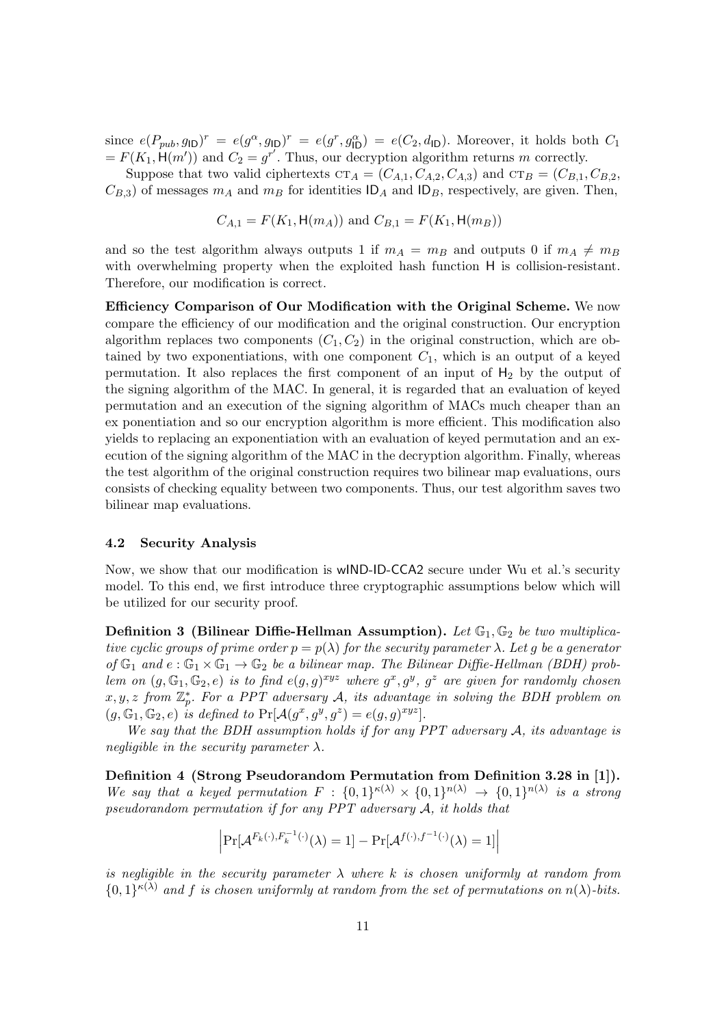since  $e(P_{pub}, g_{\mathsf{ID}})^r = e(g^{\alpha}, g_{\mathsf{ID}})^r = e(g^r, g_{\mathsf{ID}}^{\alpha}) = e(C_2, d_{\mathsf{ID}})$ . Moreover, it holds both  $C_1$  $= F(K_1, \mathcal{H}(m'))$  and  $C_2 = g^{r'}$ . Thus, our decryption algorithm returns m correctly.

Suppose that two valid ciphertexts  $CT_A = (C_{A,1}, C_{A,2}, C_{A,3})$  and  $CT_B = (C_{B,1}, C_{B,2},$  $C_{B,3}$ ) of messages  $m_A$  and  $m_B$  for identities  $ID_A$  and  $ID_B$ , respectively, are given. Then,

$$
C_{A,1} = F(K_1, \mathsf{H}(m_A))
$$
 and  $C_{B,1} = F(K_1, \mathsf{H}(m_B))$ 

and so the test algorithm always outputs 1 if  $m_A = m_B$  and outputs 0 if  $m_A \neq m_B$ with overwhelming property when the exploited hash function H is collision-resistant. Therefore, our modification is correct.

Efficiency Comparison of Our Modification with the Original Scheme. We now compare the efficiency of our modification and the original construction. Our encryption algorithm replaces two components  $(C_1, C_2)$  in the original construction, which are obtained by two exponentiations, with one component  $C_1$ , which is an output of a keyed permutation. It also replaces the first component of an input of  $H_2$  by the output of the signing algorithm of the MAC. In general, it is regarded that an evaluation of keyed permutation and an execution of the signing algorithm of MACs much cheaper than an ex ponentiation and so our encryption algorithm is more efficient. This modification also yields to replacing an exponentiation with an evaluation of keyed permutation and an execution of the signing algorithm of the MAC in the decryption algorithm. Finally, whereas the test algorithm of the original construction requires two bilinear map evaluations, ours consists of checking equality between two components. Thus, our test algorithm saves two bilinear map evaluations.

#### 4.2 Security Analysis

Now, we show that our modification is wIND-ID-CCA2 secure under Wu et al.'s security model. To this end, we first introduce three cryptographic assumptions below which will be utilized for our security proof.

**Definition 3 (Bilinear Diffie-Hellman Assumption).** Let  $\mathbb{G}_1$ ,  $\mathbb{G}_2$  be two multiplicative cyclic groups of prime order  $p = p(\lambda)$  for the security parameter  $\lambda$ . Let g be a generator of  $\mathbb{G}_1$  and  $e : \mathbb{G}_1 \times \mathbb{G}_1 \to \mathbb{G}_2$  be a bilinear map. The Bilinear Diffie-Hellman (BDH) problem on  $(g, \mathbb{G}_1, \mathbb{G}_2, e)$  is to find  $e(g, g)^{xyz}$  where  $g^x, g^y, g^z$  are given for randomly chosen  $x, y, z$  from  $\mathbb{Z}_p^*$ . For a PPT adversary A, its advantage in solving the BDH problem on  $(g, \mathbb{G}_1, \mathbb{G}_2, e)$  is defined to  $\Pr[\mathcal{A}(g^x, g^y, g^z) = e(g, g)^{xyz}].$ 

We say that the BDH assumption holds if for any  $PPT$  adversary  $A$ , its advantage is negligible in the security parameter  $\lambda$ .

Definition 4 (Strong Pseudorandom Permutation from Definition 3.28 in [1]). We say that a keyed permutation  $F: \{0,1\}^{\kappa(\lambda)} \times \{0,1\}^{n(\lambda)} \rightarrow \{0,1\}^{n(\lambda)}$  is a strong pseudorandom permutation if for any PPT adversary A, it holds that

$$
\left|\Pr[\mathcal{A}^{F_k(\cdot), F_k^{-1}(\cdot)}(\lambda) = 1] - \Pr[\mathcal{A}^{f(\cdot), f^{-1}(\cdot)}(\lambda) = 1]\right|
$$

is negligible in the security parameter  $\lambda$  where k is chosen uniformly at random from  ${0,1}^{\kappa(\lambda)}$  and f is chosen uniformly at random from the set of permutations on  $n(\lambda)$ -bits.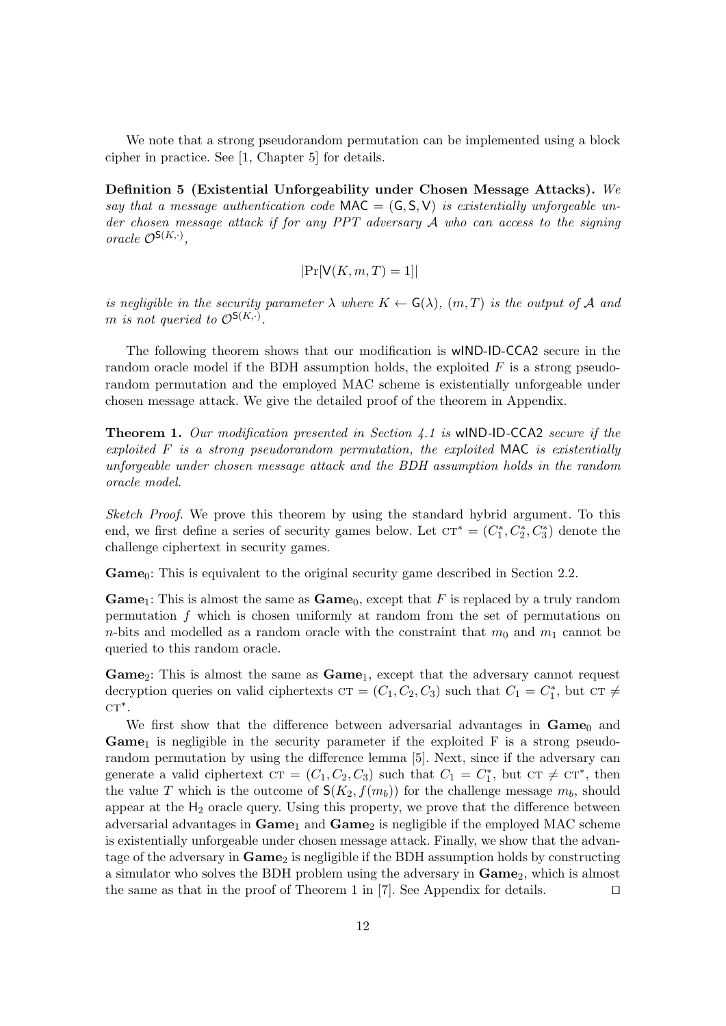We note that a strong pseudorandom permutation can be implemented using a block cipher in practice. See [1, Chapter 5] for details.

Definition 5 (Existential Unforgeability under Chosen Message Attacks). We say that a message authentication code  $MAC = (G, S, V)$  is existentially unforgeable under chosen message attack if for any  $PPT$  adversary  $A$  who can access to the signing oracle  $\mathcal{O}^{\mathsf{S}(K,\cdot)},$ 

$$
|\Pr[\mathsf{V}(K,m,T)=1]|
$$

is negligible in the security parameter  $\lambda$  where  $K \leftarrow G(\lambda)$ ,  $(m, T)$  is the output of A and m is not queried to  $\mathcal{O}^{\mathsf{S}(K,\cdot)}$ .

The following theorem shows that our modification is wIND-ID-CCA2 secure in the random oracle model if the BDH assumption holds, the exploited  $F$  is a strong pseudorandom permutation and the employed MAC scheme is existentially unforgeable under chosen message attack. We give the detailed proof of the theorem in Appendix.

**Theorem 1.** Our modification presented in Section 4.1 is wIND-ID-CCA2 secure if the exploited  $F$  is a strong pseudorandom permutation, the exploited MAC is existentially unforgeable under chosen message attack and the BDH assumption holds in the random oracle model.

Sketch Proof. We prove this theorem by using the standard hybrid argument. To this end, we first define a series of security games below. Let  $CT^* = (C_1^*, C_2^*, C_3^*)$  denote the challenge ciphertext in security games.

**Game**<sub>0</sub>: This is equivalent to the original security game described in Section 2.2.

**Game**<sub>1</sub>: This is almost the same as **Game**<sub>0</sub>, except that F is replaced by a truly random permutation f which is chosen uniformly at random from the set of permutations on *n*-bits and modelled as a random oracle with the constraint that  $m_0$  and  $m_1$  cannot be queried to this random oracle.

**Game**<sub>2</sub>: This is almost the same as  $\mathbf{Game}_1$ , except that the adversary cannot request decryption queries on valid ciphertexts  $CT = (C_1, C_2, C_3)$  such that  $C_1 = C_1^*$ , but  $CT \neq$  $CT^*$ .

We first show that the difference between adversarial advantages in  $Game_0$  and **Game**<sub>1</sub> is negligible in the security parameter if the exploited  $\bf{F}$  is a strong pseudorandom permutation by using the difference lemma [5]. Next, since if the adversary can generate a valid ciphertext  $CT = (C_1, C_2, C_3)$  such that  $C_1 = C_1^*$ , but  $CT \neq CT^*$ , then the value T which is the outcome of  $S(K_2, f(m_b))$  for the challenge message  $m_b$ , should appear at the  $H_2$  oracle query. Using this property, we prove that the difference between adversarial advantages in  $Game_1$  and  $Game_2$  is negligible if the employed MAC scheme is existentially unforgeable under chosen message attack. Finally, we show that the advantage of the adversary in  $\mathbf{Game}_2$  is negligible if the BDH assumption holds by constructing a simulator who solves the BDH problem using the adversary in Game2, which is almost the same as that in the proof of Theorem 1 in [7]. See Appendix for details.  $\square$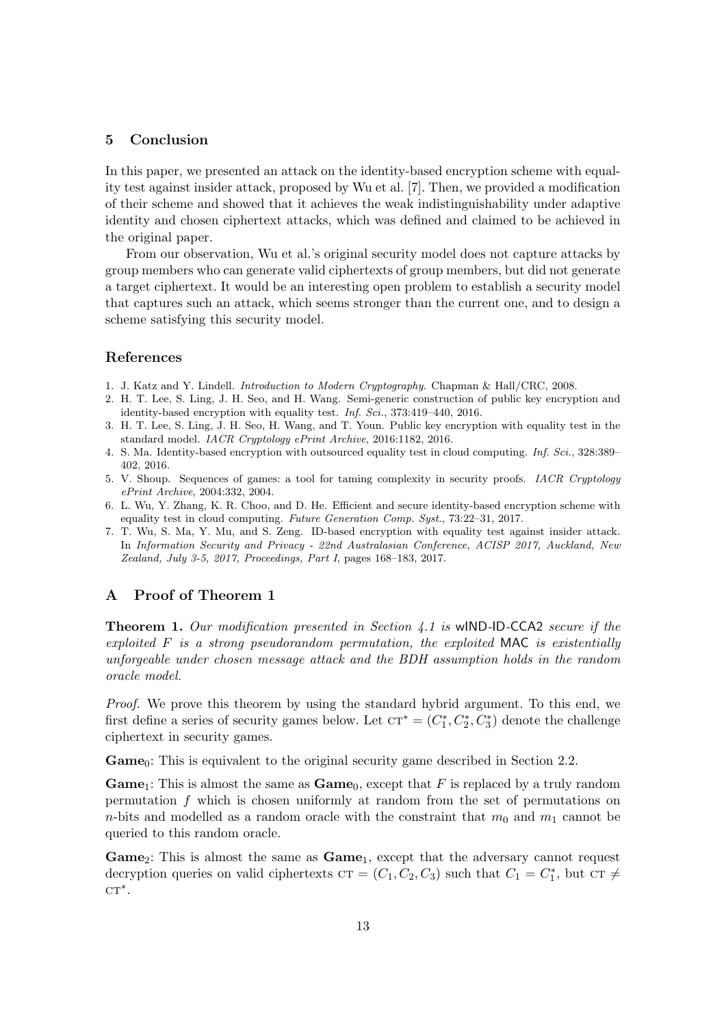# 5 Conclusion

In this paper, we presented an attack on the identity-based encryption scheme with equality test against insider attack, proposed by Wu et al. [7]. Then, we provided a modification of their scheme and showed that it achieves the weak indistinguishability under adaptive identity and chosen ciphertext attacks, which was defined and claimed to be achieved in the original paper.

From our observation, Wu et al.'s original security model does not capture attacks by group members who can generate valid ciphertexts of group members, but did not generate a target ciphertext. It would be an interesting open problem to establish a security model that captures such an attack, which seems stronger than the current one, and to design a scheme satisfying this security model.

#### References

- 1. J. Katz and Y. Lindell. Introduction to Modern Cryptography. Chapman & Hall/CRC, 2008.
- 2. H. T. Lee, S. Ling, J. H. Seo, and H. Wang. Semi-generic construction of public key encryption and identity-based encryption with equality test. Inf. Sci., 373:419–440, 2016.
- 3. H. T. Lee, S. Ling, J. H. Seo, H. Wang, and T. Youn. Public key encryption with equality test in the standard model. IACR Cryptology ePrint Archive, 2016:1182, 2016.
- 4. S. Ma. Identity-based encryption with outsourced equality test in cloud computing. Inf. Sci., 328:389– 402, 2016.
- 5. V. Shoup. Sequences of games: a tool for taming complexity in security proofs. IACR Cryptology ePrint Archive, 2004:332, 2004.
- 6. L. Wu, Y. Zhang, K. R. Choo, and D. He. Efficient and secure identity-based encryption scheme with equality test in cloud computing. Future Generation Comp. Syst., 73:22–31, 2017.
- 7. T. Wu, S. Ma, Y. Mu, and S. Zeng. ID-based encryption with equality test against insider attack. In Information Security and Privacy - 22nd Australasian Conference, ACISP 2017, Auckland, New Zealand, July 3-5, 2017, Proceedings, Part I, pages 168–183, 2017.

## A Proof of Theorem 1

**Theorem 1.** Our modification presented in Section 4.1 is wIND-ID-CCA2 secure if the exploited  $F$  is a strong pseudorandom permutation, the exploited MAC is existentially unforgeable under chosen message attack and the BDH assumption holds in the random oracle model.

Proof. We prove this theorem by using the standard hybrid argument. To this end, we first define a series of security games below. Let  $CT^* = (C_1^*, C_2^*, C_3^*)$  denote the challenge ciphertext in security games.

**Game**<sub>0</sub>: This is equivalent to the original security game described in Section 2.2.

**Game**<sub>1</sub>: This is almost the same as **Game**<sub>0</sub>, except that F is replaced by a truly random permutation f which is chosen uniformly at random from the set of permutations on *n*-bits and modelled as a random oracle with the constraint that  $m_0$  and  $m_1$  cannot be queried to this random oracle.

**Game**<sub>2</sub>: This is almost the same as  $\mathbf{Game}_1$ , except that the adversary cannot request decryption queries on valid ciphertexts  $CT = (C_1, C_2, C_3)$  such that  $C_1 = C_1^*$ , but  $CT \neq$  $CT^*$ .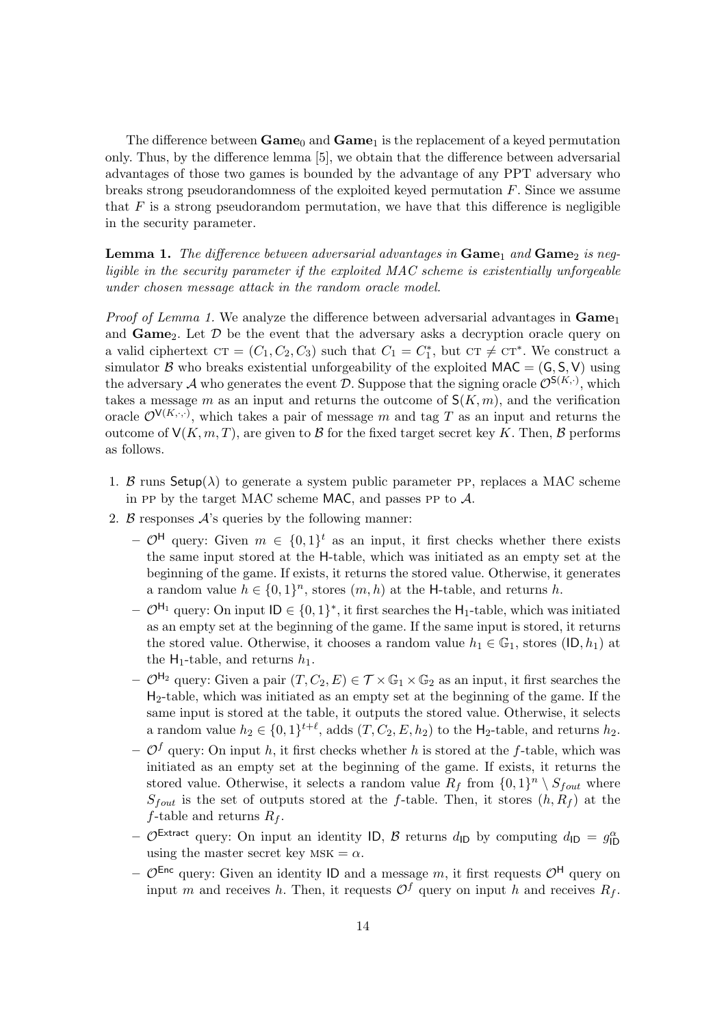The difference between  $\mathbf{Game}_0$  and  $\mathbf{Game}_1$  is the replacement of a keyed permutation only. Thus, by the difference lemma [5], we obtain that the difference between adversarial advantages of those two games is bounded by the advantage of any PPT adversary who breaks strong pseudorandomness of the exploited keyed permutation  $F$ . Since we assume that  $F$  is a strong pseudorandom permutation, we have that this difference is negligible in the security parameter.

**Lemma 1.** The difference between adversarial advantages in  $Game_1$  and  $Game_2$  is negligible in the security parameter if the exploited MAC scheme is existentially unforgeable under chosen message attack in the random oracle model.

*Proof of Lemma 1.* We analyze the difference between adversarial advantages in  $Game_1$ and  $Game_2$ . Let  $\mathcal D$  be the event that the adversary asks a decryption oracle query on a valid ciphertext  $CT = (C_1, C_2, C_3)$  such that  $C_1 = C_1^*$ , but  $CT \neq CT^*$ . We construct a simulator B who breaks existential unforgeability of the exploited  $MAC = (G, S, V)$  using the adversary A who generates the event D. Suppose that the signing oracle  $\mathcal{O}^{S(K,\cdot)}$ , which takes a message m as an input and returns the outcome of  $S(K, m)$ , and the verification oracle  $\mathcal{O}^{V(K,\cdot,\cdot)}$ , which takes a pair of message m and tag T as an input and returns the outcome of  $V(K, m, T)$ , are given to  $\beta$  for the fixed target secret key K. Then,  $\beta$  performs as follows.

- 1. B runs Setup( $\lambda$ ) to generate a system public parameter PP, replaces a MAC scheme in PP by the target MAC scheme MAC, and passes PP to  $A$ .
- 2.  $\beta$  responses  $\mathcal{A}$ 's queries by the following manner:
	- $-$  O<sup>H</sup> query: Given  $m \in \{0,1\}^t$  as an input, it first checks whether there exists the same input stored at the H-table, which was initiated as an empty set at the beginning of the game. If exists, it returns the stored value. Otherwise, it generates a random value  $h \in \{0,1\}^n$ , stores  $(m,h)$  at the H-table, and returns h.
	- $\mathcal{O}^{H_1}$  query: On input  $ID \in \{0,1\}^*$ , it first searches the  $H_1$ -table, which was initiated as an empty set at the beginning of the game. If the same input is stored, it returns the stored value. Otherwise, it chooses a random value  $h_1 \in \mathbb{G}_1$ , stores  $(\mathsf{ID}, h_1)$  at the H<sub>1</sub>-table, and returns  $h_1$ .
	- $\mathcal{O}^{H_2}$  query: Given a pair  $(T, C_2, E) \in \mathcal{T} \times \mathbb{G}_1 \times \mathbb{G}_2$  as an input, it first searches the H2-table, which was initiated as an empty set at the beginning of the game. If the same input is stored at the table, it outputs the stored value. Otherwise, it selects a random value  $h_2 \in \{0,1\}^{t+\ell}$ , adds  $(T, C_2, E, h_2)$  to the H<sub>2</sub>-table, and returns  $h_2$ .
	- $\mathcal{O}^f$  query: On input h, it first checks whether h is stored at the f-table, which was initiated as an empty set at the beginning of the game. If exists, it returns the stored value. Otherwise, it selects a random value  $R_f$  from  $\{0,1\}^n \setminus S_{fout}$  where  $S_{fout}$  is the set of outputs stored at the f-table. Then, it stores  $(h, R_f)$  at the  $f$ -table and returns  $R_f$ .
	- $\mathcal{O}^{\mathsf{Extract}}$  query: On input an identity ID,  $\beta$  returns  $d_{\mathsf{ID}}$  by computing  $d_{\mathsf{ID}} = g_{\mathsf{ID}}^{\alpha}$ using the master secret key  $MSK = \alpha$ .
	- $\mathcal{O}^{\mathsf{Enc}}$  query: Given an identity ID and a message m, it first requests  $\mathcal{O}^{\mathsf{H}}$  query on input m and receives h. Then, it requests  $\mathcal{O}^f$  query on input h and receives  $R_f$ .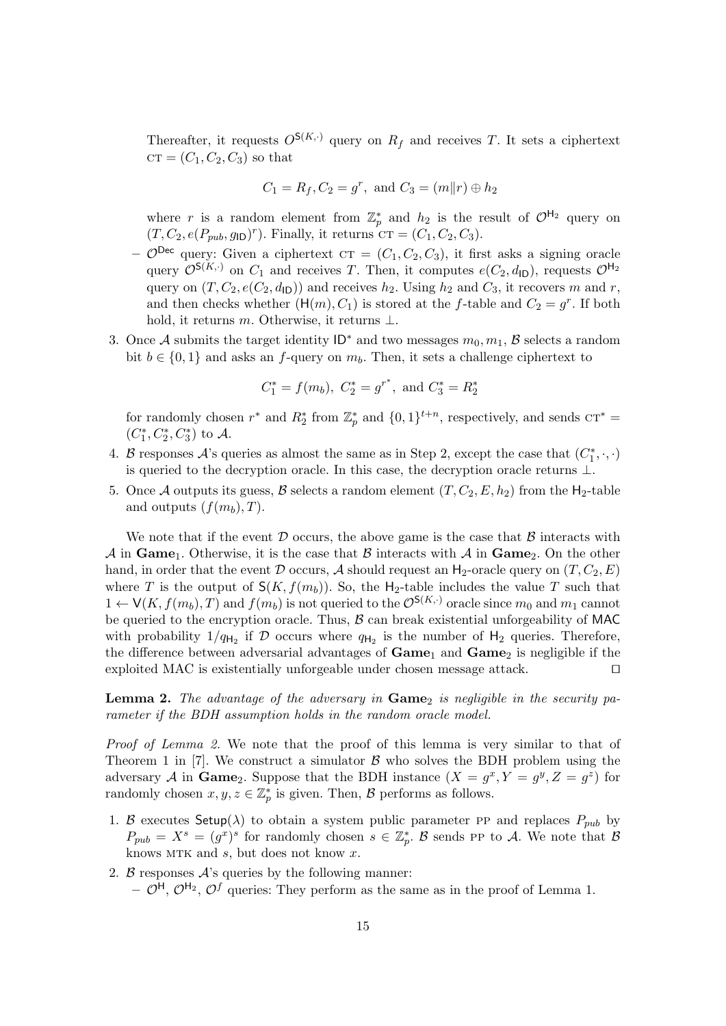Thereafter, it requests  $O^{\mathsf{S}(K,\cdot)}$  query on  $R_f$  and receives T. It sets a ciphertext  $CT = (C_1, C_2, C_3)$  so that

$$
C_1 = R_f, C_2 = g^r
$$
, and  $C_3 = (m||r) \oplus h_2$ 

where r is a random element from  $\mathbb{Z}_p^*$  and  $h_2$  is the result of  $\mathcal{O}^{H_2}$  query on  $(T, C_2, e(P_{pub}, g_{\text{ID}})^r)$ . Finally, it returns  $CT = (C_1, C_2, C_3)$ .

- $\mathcal{O}^{\text{Dec}}$  query: Given a ciphertext  $CT = (C_1, C_2, C_3)$ , it first asks a signing oracle query  $\mathcal{O}^{S(K,\cdot)}$  on  $C_1$  and receives T. Then, it computes  $e(C_2, d_{\mathsf{ID}})$ , requests  $\mathcal{O}^{\mathsf{H}_2}$ query on  $(T, C_2, e(C_2, d_{\text{ID}}))$  and receives  $h_2$ . Using  $h_2$  and  $C_3$ , it recovers m and r, and then checks whether  $(H(m), C_1)$  is stored at the f-table and  $C_2 = g^r$ . If both hold, it returns m. Otherwise, it returns  $\perp$ .
- 3. Once A submits the target identity  $ID^*$  and two messages  $m_0, m_1, B$  selects a random bit  $b \in \{0, 1\}$  and asks an f-query on  $m_b$ . Then, it sets a challenge ciphertext to

$$
C_1^* = f(m_b)
$$
,  $C_2^* = g^{r^*}$ , and  $C_3^* = R_2^*$ 

for randomly chosen  $r^*$  and  $R_2^*$  from  $\mathbb{Z}_p^*$  and  $\{0,1\}^{t+n}$ , respectively, and sends  $CT^*$  =  $(C_1^*, C_2^*, C_3^*)$  to A.

- 4. B responses A's queries as almost the same as in Step 2, except the case that  $(C_1^*, \cdot, \cdot)$ is queried to the decryption oracle. In this case, the decryption oracle returns ⊥.
- 5. Once A outputs its guess, B selects a random element  $(T, C_2, E, h_2)$  from the H<sub>2</sub>-table and outputs  $(f(m_b), T)$ .

We note that if the event  $\mathcal D$  occurs, the above game is the case that  $\mathcal B$  interacts with A in Game<sub>1</sub>. Otherwise, it is the case that B interacts with A in Game<sub>2</sub>. On the other hand, in order that the event D occurs, A should request an  $H_2$ -oracle query on  $(T, C_2, E)$ where T is the output of  $S(K, f(m_b))$ . So, the H<sub>2</sub>-table includes the value T such that  $1 \leftarrow V(K, f(m_b), T)$  and  $f(m_b)$  is not queried to the  $\mathcal{O}^{S(K,\cdot)}$  oracle since  $m_0$  and  $m_1$  cannot be queried to the encryption oracle. Thus,  $\beta$  can break existential unforgeability of MAC with probability  $1/q_{H_2}$  if D occurs where  $q_{H_2}$  is the number of  $H_2$  queries. Therefore, the difference between adversarial advantages of  $Game_1$  and  $Game_2$  is negligible if the exploited MAC is existentially unforgeable under chosen message attack.  $\square$ 

**Lemma 2.** The advantage of the adversary in  $\textbf{Game}_2$  is negligible in the security parameter if the BDH assumption holds in the random oracle model.

Proof of Lemma 2. We note that the proof of this lemma is very similar to that of Theorem 1 in [7]. We construct a simulator  $\beta$  who solves the BDH problem using the adversary A in Game<sub>2</sub>. Suppose that the BDH instance  $(X = g^x, Y = g^y, Z = g^z)$  for randomly chosen  $x, y, z \in \mathbb{Z}_p^*$  is given. Then,  $\mathcal{B}$  performs as follows.

- 1. B executes Setup( $\lambda$ ) to obtain a system public parameter PP and replaces  $P_{pub}$  by  $P_{pub} = X^s = (g^x)^s$  for randomly chosen  $s \in \mathbb{Z}_p^*$ . B sends PP to A. We note that B knows MTK and  $s$ , but does not know  $x$ .
- 2.  $\beta$  responses  $\mathcal{A}$ 's queries by the following manner:  $\mathcal{O}^{H}$ ,  $\mathcal{O}^{H_2}$ ,  $\mathcal{O}^{f}$  queries: They perform as the same as in the proof of Lemma 1.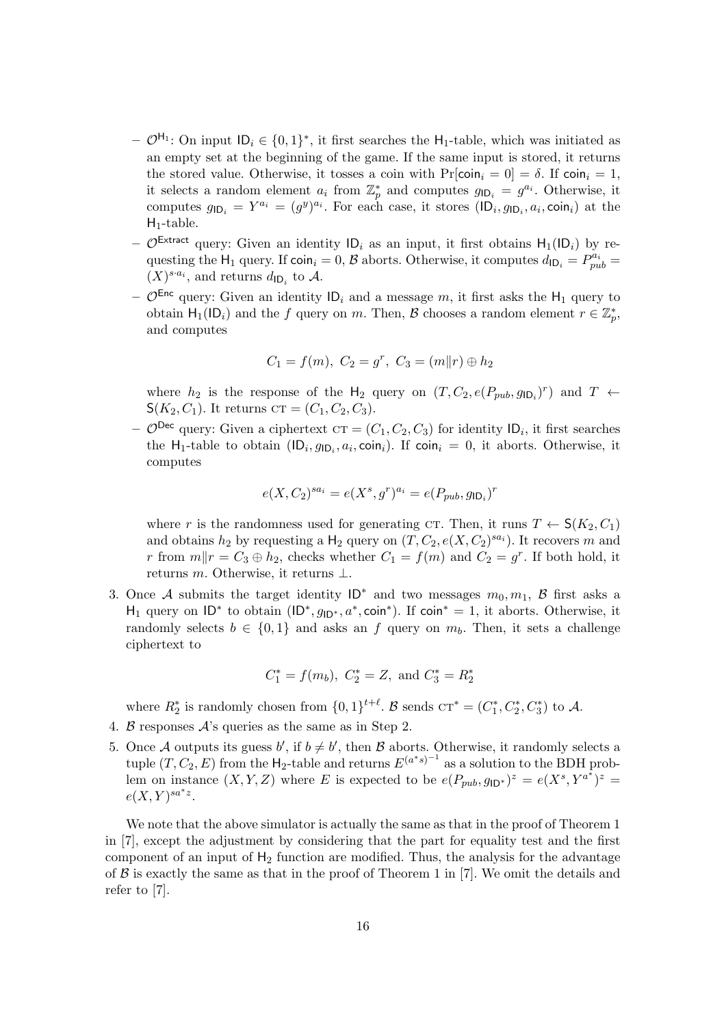- $\mathcal{O}^{H_1}$ : On input  $ID_i \in \{0,1\}^*$ , it first searches the  $H_1$ -table, which was initiated as an empty set at the beginning of the game. If the same input is stored, it returns the stored value. Otherwise, it tosses a coin with  $Pr[coin_i = 0] = \delta$ . If coin<sub>i</sub> = 1, it selects a random element  $a_i$  from  $\mathbb{Z}_p^*$  and computes  $g_{\mathsf{ID}_i} = g^{a_i}$ . Otherwise, it computes  $g_{\mathsf{ID}_i} = Y^{a_i} = (g^y)^{a_i}$ . For each case, it stores  $(\mathsf{ID}_i, g_{\mathsf{ID}_i}, a_i, \mathsf{coin}_i)$  at the  $H_1$ -table.
- $\mathcal{O}^{\text{Extract}}$  query: Given an identity  $ID_i$  as an input, it first obtains  $H_1(ID_i)$  by requesting the H<sub>1</sub> query. If  $\text{coin}_i = 0$ ,  $\beta$  aborts. Otherwise, it computes  $d_{\text{ID}_i} = P_{pub}^{a_i} =$  $(X)^{s \cdot a_i}$ , and returns  $d_{\mathsf{ID}_i}$  to A.
- $\mathcal{O}^{\mathsf{Enc}}$  query: Given an identity  $\mathsf{ID}_i$  and a message m, it first asks the H<sub>1</sub> query to obtain  $H_1(|D_i)$  and the f query on m. Then, B chooses a random element  $r \in \mathbb{Z}_p^*$ , and computes

$$
C_1 = f(m), C_2 = g^r, C_3 = (m||r) \oplus h_2
$$

where  $h_2$  is the response of the H<sub>2</sub> query on  $(T, C_2, e(P_{pub}, g_{\mathsf{ID}_i})^r)$  and  $T \leftarrow$  $S(K_2, C_1)$ . It returns  $CT = (C_1, C_2, C_3)$ .

 $-$  O<sup>Dec</sup> query: Given a ciphertext CT =  $(C_1, C_2, C_3)$  for identity  $ID_i$ , it first searches the H<sub>1</sub>-table to obtain  $(\mathsf{ID}_i, g_{\mathsf{ID}_i}, a_i, \text{coin}_i)$ . If  $\text{coin}_i = 0$ , it aborts. Otherwise, it computes

$$
e(X,C_2)^{sa_i}=e(X^s,g^r)^{a_i}=e(P_{pub},g_{\mathsf{ID}_i})^r
$$

where r is the randomness used for generating CT. Then, it runs  $T \leftarrow S(K_2, C_1)$ and obtains  $h_2$  by requesting a  $H_2$  query on  $(T, C_2, e(X, C_2)^{sa_i})$ . It recovers m and r from  $m||r = C_3 \oplus h_2$ , checks whether  $C_1 = f(m)$  and  $C_2 = g^r$ . If both hold, it returns m. Otherwise, it returns  $\perp$ .

3. Once A submits the target identity  $ID^*$  and two messages  $m_0, m_1, \mathcal{B}$  first asks a H<sub>1</sub> query on  $ID^*$  to obtain  $(ID^*, g_{ID^*}, a^*, coin^*)$ . If coin<sup>\*</sup> = 1, it aborts. Otherwise, it randomly selects  $b \in \{0,1\}$  and asks an f query on  $m_b$ . Then, it sets a challenge ciphertext to

$$
C_1^* = f(m_b)
$$
,  $C_2^* = Z$ , and  $C_3^* = R_2^*$ 

where  $R_2^*$  is randomly chosen from  $\{0,1\}^{t+\ell}$ . B sends  $CT^* = (C_1^*, C_2^*, C_3^*)$  to A.

- 4. B responses  $\mathcal{A}$ 's queries as the same as in Step 2.
- 5. Once A outputs its guess b', if  $b \neq b'$ , then B aborts. Otherwise, it randomly selects a tuple  $(T, C_2, E)$  from the H<sub>2</sub>-table and returns  $E^{(a^*s)^{-1}}$  as a solution to the BDH problem on instance  $(X, Y, Z)$  where E is expected to be  $e(P_{pub}, g_{\mathsf{ID}^*})^z = e(X^s, Y^{a^*})^z =$  $e(X,Y)^{sa^*z}.$

We note that the above simulator is actually the same as that in the proof of Theorem 1 in [7], except the adjustment by considering that the part for equality test and the first component of an input of  $H_2$  function are modified. Thus, the analysis for the advantage of  $\beta$  is exactly the same as that in the proof of Theorem 1 in [7]. We omit the details and refer to [7].